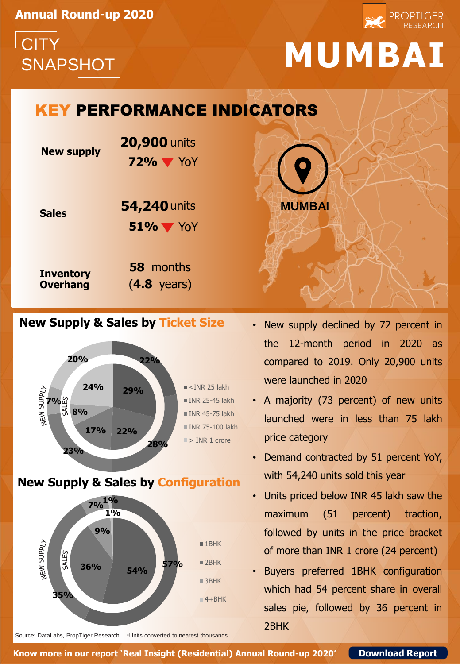**Annual Round-up 2020**

**CITY** 

## SNAPSHOT **MUMBAI**

**PROPTIGER** 

## KEY PERFORMANCE INDICATORS

| <b>New supply</b>                   | <b>20,900 units</b><br>$72\%$ $\blacktriangledown$ YoY |
|-------------------------------------|--------------------------------------------------------|
| <b>Sales</b>                        | 54,240 units<br>$51\%$ $\blacktriangledown$ YoY        |
| <b>Inventory</b><br><b>Overhang</b> | <b>58</b> months<br>$(4.8 \text{ years})$              |

### **New Supply & Sales by Ticket Size**



### **New Supply & Sales by Configuration**



Source: DataLabs, PropTiger Research \*Units converted to nearest thousands

• New supply declined by 72 percent in the 12-month period in 2020 as compared to 2019. Only 20,900 units were launched in 2020

**MUMBAI** 

- A majority (73 percent) of new units launched were in less than 75 lakh price category
- Demand contracted by 51 percent YoY, with 54,240 units sold this year
- Units priced below INR 45 lakh saw the maximum (51 percent) traction, followed by units in the price bracket of more than INR 1 crore (24 percent)
- Buyers preferred 1BHK configuration which had 54 percent share in overall sales pie, followed by 36 percent in 2BHK